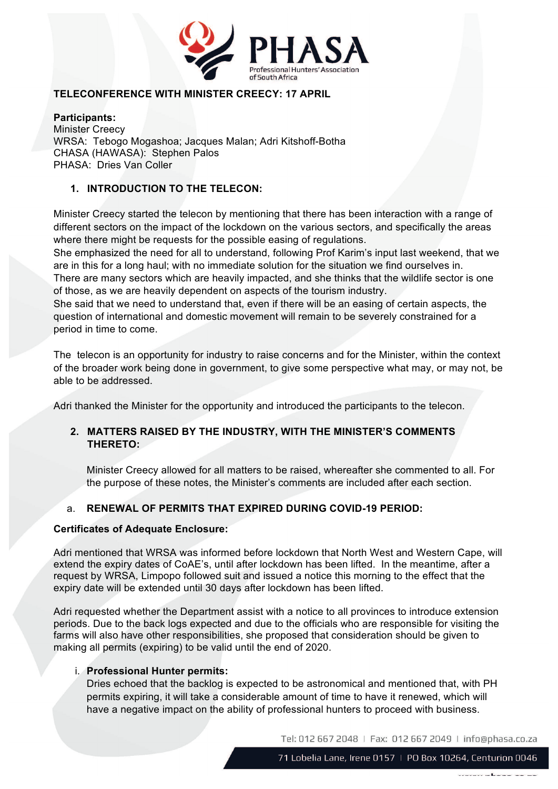

# **TELECONFERENCE WITH MINISTER CREECY: 17 APRIL**

### **Participants:**

Minister Creecy WRSA: Tebogo Mogashoa; Jacques Malan; Adri Kitshoff-Botha CHASA (HAWASA): Stephen Palos PHASA: Dries Van Coller

# **1. INTRODUCTION TO THE TELECON:**

Minister Creecy started the telecon by mentioning that there has been interaction with a range of different sectors on the impact of the lockdown on the various sectors, and specifically the areas where there might be requests for the possible easing of regulations.

She emphasized the need for all to understand, following Prof Karim's input last weekend, that we are in this for a long haul; with no immediate solution for the situation we find ourselves in.

There are many sectors which are heavily impacted, and she thinks that the wildlife sector is one of those, as we are heavily dependent on aspects of the tourism industry.

She said that we need to understand that, even if there will be an easing of certain aspects, the question of international and domestic movement will remain to be severely constrained for a period in time to come.

The telecon is an opportunity for industry to raise concerns and for the Minister, within the context of the broader work being done in government, to give some perspective what may, or may not, be able to be addressed.

Adri thanked the Minister for the opportunity and introduced the participants to the telecon.

# **2. MATTERS RAISED BY THE INDUSTRY, WITH THE MINISTER'S COMMENTS THERETO:**

Minister Creecy allowed for all matters to be raised, whereafter she commented to all. For the purpose of these notes, the Minister's comments are included after each section.

# a. **RENEWAL OF PERMITS THAT EXPIRED DURING COVID-19 PERIOD:**

#### **Certificates of Adequate Enclosure:**

Adri mentioned that WRSA was informed before lockdown that North West and Western Cape, will extend the expiry dates of CoAE's, until after lockdown has been lifted. In the meantime, after a request by WRSA, Limpopo followed suit and issued a notice this morning to the effect that the expiry date will be extended until 30 days after lockdown has been lifted.

Adri requested whether the Department assist with a notice to all provinces to introduce extension periods. Due to the back logs expected and due to the officials who are responsible for visiting the farms will also have other responsibilities, she proposed that consideration should be given to making all permits (expiring) to be valid until the end of 2020.

### i. **Professional Hunter permits:**

Dries echoed that the backlog is expected to be astronomical and mentioned that, with PH permits expiring, it will take a considerable amount of time to have it renewed, which will have a negative impact on the ability of professional hunters to proceed with business.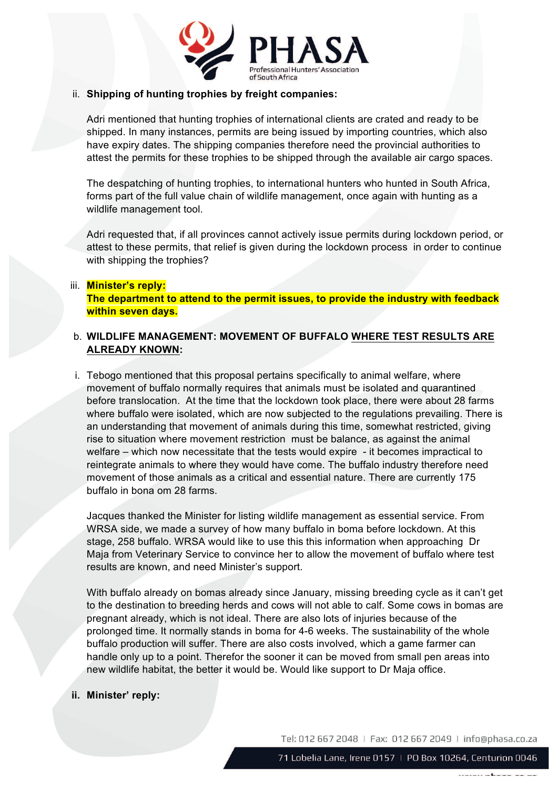

### ii. **Shipping of hunting trophies by freight companies:**

Adri mentioned that hunting trophies of international clients are crated and ready to be shipped. In many instances, permits are being issued by importing countries, which also have expiry dates. The shipping companies therefore need the provincial authorities to attest the permits for these trophies to be shipped through the available air cargo spaces.

The despatching of hunting trophies, to international hunters who hunted in South Africa, forms part of the full value chain of wildlife management, once again with hunting as a wildlife management tool.

Adri requested that, if all provinces cannot actively issue permits during lockdown period, or attest to these permits, that relief is given during the lockdown process in order to continue with shipping the trophies?

# iii. **Minister's reply: The department to attend to the permit issues, to provide the industry with feedback within seven days.**

# b. **WILDLIFE MANAGEMENT: MOVEMENT OF BUFFALO WHERE TEST RESULTS ARE ALREADY KNOWN:**

i. Tebogo mentioned that this proposal pertains specifically to animal welfare, where movement of buffalo normally requires that animals must be isolated and quarantined before translocation. At the time that the lockdown took place, there were about 28 farms where buffalo were isolated, which are now subjected to the regulations prevailing. There is an understanding that movement of animals during this time, somewhat restricted, giving rise to situation where movement restriction must be balance, as against the animal welfare – which now necessitate that the tests would expire - it becomes impractical to reintegrate animals to where they would have come. The buffalo industry therefore need movement of those animals as a critical and essential nature. There are currently 175 buffalo in bona om 28 farms.

Jacques thanked the Minister for listing wildlife management as essential service. From WRSA side, we made a survey of how many buffalo in boma before lockdown. At this stage, 258 buffalo. WRSA would like to use this this information when approaching Dr Maja from Veterinary Service to convince her to allow the movement of buffalo where test results are known, and need Minister's support.

With buffalo already on bomas already since January, missing breeding cycle as it can't get to the destination to breeding herds and cows will not able to calf. Some cows in bomas are pregnant already, which is not ideal. There are also lots of injuries because of the prolonged time. It normally stands in boma for 4-6 weeks. The sustainability of the whole buffalo production will suffer. There are also costs involved, which a game farmer can handle only up to a point. Therefor the sooner it can be moved from small pen areas into new wildlife habitat, the better it would be. Would like support to Dr Maja office.

#### **ii. Minister' reply:**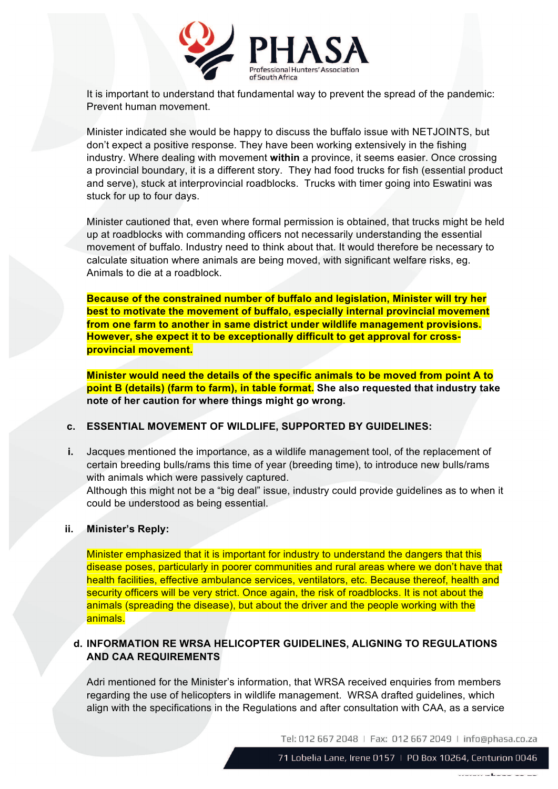

It is important to understand that fundamental way to prevent the spread of the pandemic: Prevent human movement.

Minister indicated she would be happy to discuss the buffalo issue with NETJOINTS, but don't expect a positive response. They have been working extensively in the fishing industry. Where dealing with movement **within** a province, it seems easier. Once crossing a provincial boundary, it is a different story. They had food trucks for fish (essential product and serve), stuck at interprovincial roadblocks. Trucks with timer going into Eswatini was stuck for up to four days.

Minister cautioned that, even where formal permission is obtained, that trucks might be held up at roadblocks with commanding officers not necessarily understanding the essential movement of buffalo. Industry need to think about that. It would therefore be necessary to calculate situation where animals are being moved, with significant welfare risks, eg. Animals to die at a roadblock.

**Because of the constrained number of buffalo and legislation, Minister will try her best to motivate the movement of buffalo, especially internal provincial movement from one farm to another in same district under wildlife management provisions. However, she expect it to be exceptionally difficult to get approval for crossprovincial movement.**

**Minister would need the details of the specific animals to be moved from point A to point B (details) (farm to farm), in table format. She also requested that industry take note of her caution for where things might go wrong.**

#### **c. ESSENTIAL MOVEMENT OF WILDLIFE, SUPPORTED BY GUIDELINES:**

**i.** Jacques mentioned the importance, as a wildlife management tool, of the replacement of certain breeding bulls/rams this time of year (breeding time), to introduce new bulls/rams with animals which were passively captured.

Although this might not be a "big deal" issue, industry could provide guidelines as to when it could be understood as being essential.

#### **ii. Minister's Reply:**

Minister emphasized that it is important for industry to understand the dangers that this disease poses, particularly in poorer communities and rural areas where we don't have that health facilities, effective ambulance services, ventilators, etc. Because thereof, health and security officers will be very strict. Once again, the risk of roadblocks. It is not about the animals (spreading the disease), but about the driver and the people working with the animals.

# **d. INFORMATION RE WRSA HELICOPTER GUIDELINES, ALIGNING TO REGULATIONS AND CAA REQUIREMENTS**

Adri mentioned for the Minister's information, that WRSA received enquiries from members regarding the use of helicopters in wildlife management. WRSA drafted guidelines, which align with the specifications in the Regulations and after consultation with CAA, as a service

Tel: 012 667 2048 | Fax: 012 667 2049 | info@phasa.co.za

71 Lobelia Lane, Irene 0157 | PO Box 10264, Centurion 0046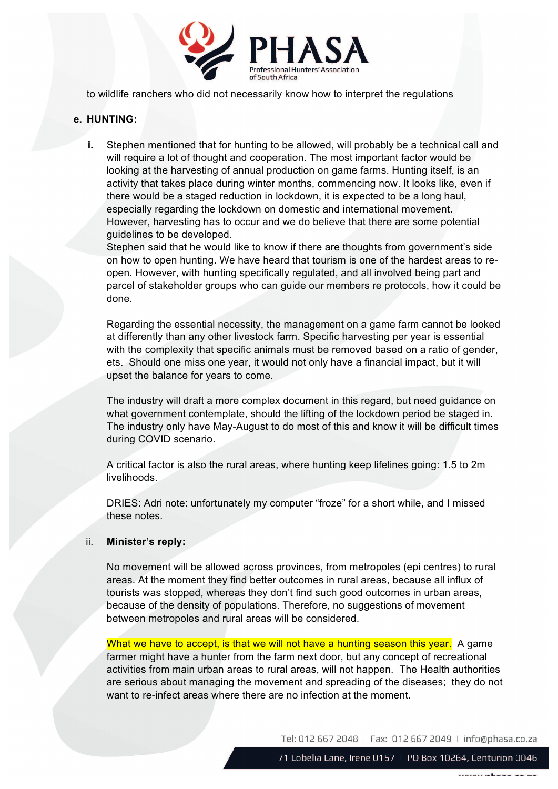

to wildlife ranchers who did not necessarily know how to interpret the regulations

# **e. HUNTING:**

**i.** Stephen mentioned that for hunting to be allowed, will probably be a technical call and will require a lot of thought and cooperation. The most important factor would be looking at the harvesting of annual production on game farms. Hunting itself, is an activity that takes place during winter months, commencing now. It looks like, even if there would be a staged reduction in lockdown, it is expected to be a long haul, especially regarding the lockdown on domestic and international movement. However, harvesting has to occur and we do believe that there are some potential guidelines to be developed.

Stephen said that he would like to know if there are thoughts from government's side on how to open hunting. We have heard that tourism is one of the hardest areas to reopen. However, with hunting specifically regulated, and all involved being part and parcel of stakeholder groups who can guide our members re protocols, how it could be done.

Regarding the essential necessity, the management on a game farm cannot be looked at differently than any other livestock farm. Specific harvesting per year is essential with the complexity that specific animals must be removed based on a ratio of gender, ets. Should one miss one year, it would not only have a financial impact, but it will upset the balance for years to come.

The industry will draft a more complex document in this regard, but need guidance on what government contemplate, should the lifting of the lockdown period be staged in. The industry only have May-August to do most of this and know it will be difficult times during COVID scenario.

A critical factor is also the rural areas, where hunting keep lifelines going: 1.5 to 2m livelihoods.

DRIES: Adri note: unfortunately my computer "froze" for a short while, and I missed these notes.

#### ii. **Minister's reply:**

No movement will be allowed across provinces, from metropoles (epi centres) to rural areas. At the moment they find better outcomes in rural areas, because all influx of tourists was stopped, whereas they don't find such good outcomes in urban areas, because of the density of populations. Therefore, no suggestions of movement between metropoles and rural areas will be considered.

What we have to accept, is that we will not have a hunting season this year. A game farmer might have a hunter from the farm next door, but any concept of recreational activities from main urban areas to rural areas, will not happen. The Health authorities are serious about managing the movement and spreading of the diseases; they do not want to re-infect areas where there are no infection at the moment.